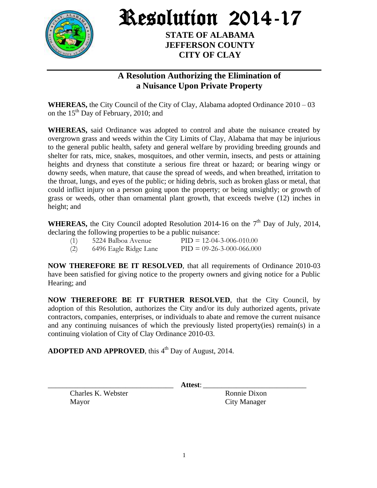

Resolution 2014-17

**STATE OF ALABAMA JEFFERSON COUNTY CITY OF CLAY**

## **A Resolution Authorizing the Elimination of a Nuisance Upon Private Property**

**WHEREAS,** the City Council of the City of Clay, Alabama adopted Ordinance 2010 – 03 on the  $15<sup>th</sup>$  Day of February, 2010; and

**WHEREAS,** said Ordinance was adopted to control and abate the nuisance created by overgrown grass and weeds within the City Limits of Clay, Alabama that may be injurious to the general public health, safety and general welfare by providing breeding grounds and shelter for rats, mice, snakes, mosquitoes, and other vermin, insects, and pests or attaining heights and dryness that constitute a serious fire threat or hazard; or bearing wingy or downy seeds, when mature, that cause the spread of weeds, and when breathed, irritation to the throat, lungs, and eyes of the public; or hiding debris, such as broken glass or metal, that could inflict injury on a person going upon the property; or being unsightly; or growth of grass or weeds, other than ornamental plant growth, that exceeds twelve (12) inches in height; and

**WHEREAS,** the City Council adopted Resolution 2014-16 on the  $7<sup>th</sup>$  Day of July, 2014, declaring the following properties to be a public nuisance:

| (1) | 5224 Balboa Avenue    | $PID = 12-04-3-006-010.00$  |
|-----|-----------------------|-----------------------------|
| (2) | 6496 Eagle Ridge Lane | $PID = 09-26-3-000-066.000$ |

**NOW THEREFORE BE IT RESOLVED**, that all requirements of Ordinance 2010-03 have been satisfied for giving notice to the property owners and giving notice for a Public Hearing; and

**NOW THEREFORE BE IT FURTHER RESOLVED**, that the City Council, by adoption of this Resolution, authorizes the City and/or its duly authorized agents, private contractors, companies, enterprises, or individuals to abate and remove the current nuisance and any continuing nuisances of which the previously listed property(ies) remain(s) in a continuing violation of City of Clay Ordinance 2010-03.

ADOPTED AND APPROVED, this 4<sup>th</sup> Day of August, 2014.

Charles K. Webster Ronnie Dixon Mayor City Manager

\_\_\_\_\_\_\_\_\_\_\_\_\_\_\_\_\_\_\_\_\_\_\_\_\_\_\_\_\_\_\_\_\_\_ **Attest**: \_\_\_\_\_\_\_\_\_\_\_\_\_\_\_\_\_\_\_\_\_\_\_\_\_\_\_\_